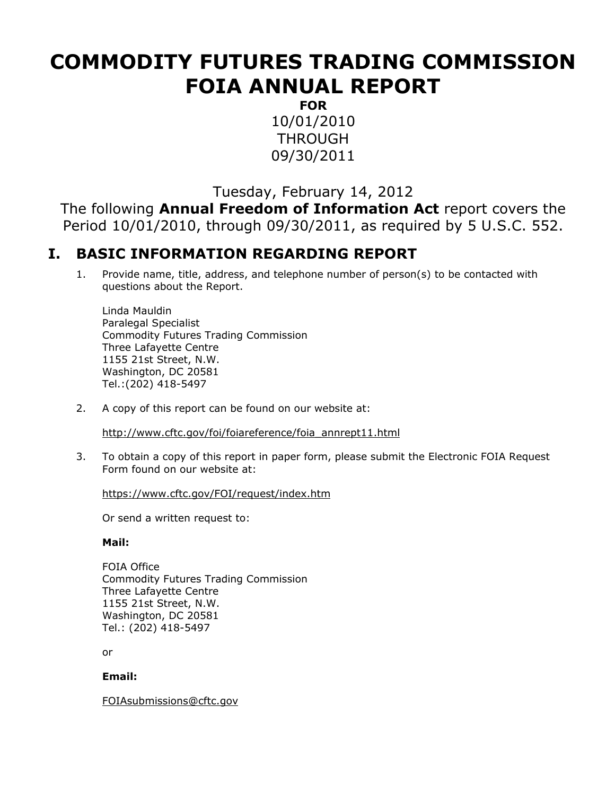# **COMMODITY FUTURES TRADING COMMISSION FOIA ANNUAL REPORT**

**FOR** 10/01/2010 THROUGH 09/30/2011

Tuesday, February 14, 2012

The following **Annual Freedom of Information Act** report covers the Period 10/01/2010, through 09/30/2011, as required by 5 U.S.C. 552.

## **I. BASIC INFORMATION REGARDING REPORT**

1. Provide name, title, address, and telephone number of person(s) to be contacted with questions about the Report.

Linda Mauldin Paralegal Specialist Commodity Futures Trading Commission Three Lafayette Centre 1155 21st Street, N.W. Washington, DC 20581 Tel.:(202) 418-5497

2. A copy of this report can be found on our website at:

[http://www.cftc.gov/foi/foiareference/foia\\_annrept11.html](http://www.cftc.gov/foi/foiareference/foia_annrept11.html)

3. To obtain a copy of this report in paper form, please submit the Electronic FOIA Request Form found on our website at:

<https://www.cftc.gov/FOI/request/index.htm>

Or send a written request to:

#### **Mail:**

FOIA Office Commodity Futures Trading Commission Three Lafayette Centre 1155 21st Street, N.W. Washington, DC 20581 Tel.: (202) 418-5497

or

#### **Email:**

[FOIAsubmissions@cftc.gov](mailto:FOIAsubmissions@cftc.gov)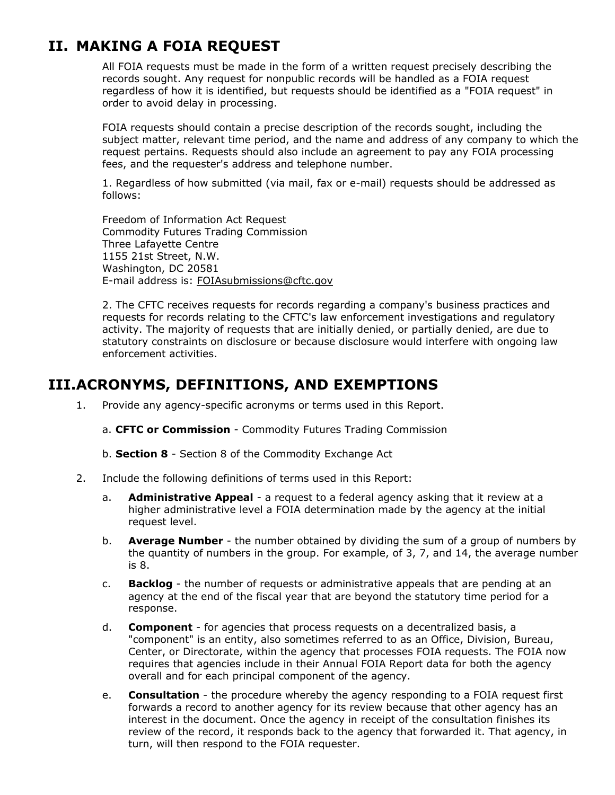# **II. MAKING A FOIA REQUEST**

All FOIA requests must be made in the form of a written request precisely describing the records sought. Any request for nonpublic records will be handled as a FOIA request regardless of how it is identified, but requests should be identified as a "FOIA request" in order to avoid delay in processing.

FOIA requests should contain a precise description of the records sought, including the subject matter, relevant time period, and the name and address of any company to which the request pertains. Requests should also include an agreement to pay any FOIA processing fees, and the requester's address and telephone number.

1. Regardless of how submitted (via mail, fax or e-mail) requests should be addressed as follows:

Freedom of Information Act Request Commodity Futures Trading Commission Three Lafayette Centre 1155 21st Street, N.W. Washington, DC 20581 E-mail address is: [FOIAsubmissions@cftc.gov](mailto:FOIAsubmissions@cftc.gov)

2. The CFTC receives requests for records regarding a company's business practices and requests for records relating to the CFTC's law enforcement investigations and regulatory activity. The majority of requests that are initially denied, or partially denied, are due to statutory constraints on disclosure or because disclosure would interfere with ongoing law enforcement activities.

### **III.ACRONYMS, DEFINITIONS, AND EXEMPTIONS**

- 1. Provide any agency-specific acronyms or terms used in this Report.
	- a. **CFTC or Commission** Commodity Futures Trading Commission
	- b. **Section 8** Section 8 of the Commodity Exchange Act
- 2. Include the following definitions of terms used in this Report:
	- a. **Administrative Appeal** a request to a federal agency asking that it review at a higher administrative level a FOIA determination made by the agency at the initial request level.
	- b. **Average Number** the number obtained by dividing the sum of a group of numbers by the quantity of numbers in the group. For example, of 3, 7, and 14, the average number is 8.
	- c. **Backlog** the number of requests or administrative appeals that are pending at an agency at the end of the fiscal year that are beyond the statutory time period for a response.
	- d. **Component** for agencies that process requests on a decentralized basis, a "component" is an entity, also sometimes referred to as an Office, Division, Bureau, Center, or Directorate, within the agency that processes FOIA requests. The FOIA now requires that agencies include in their Annual FOIA Report data for both the agency overall and for each principal component of the agency.
	- e. **Consultation** the procedure whereby the agency responding to a FOIA request first forwards a record to another agency for its review because that other agency has an interest in the document. Once the agency in receipt of the consultation finishes its review of the record, it responds back to the agency that forwarded it. That agency, in turn, will then respond to the FOIA requester.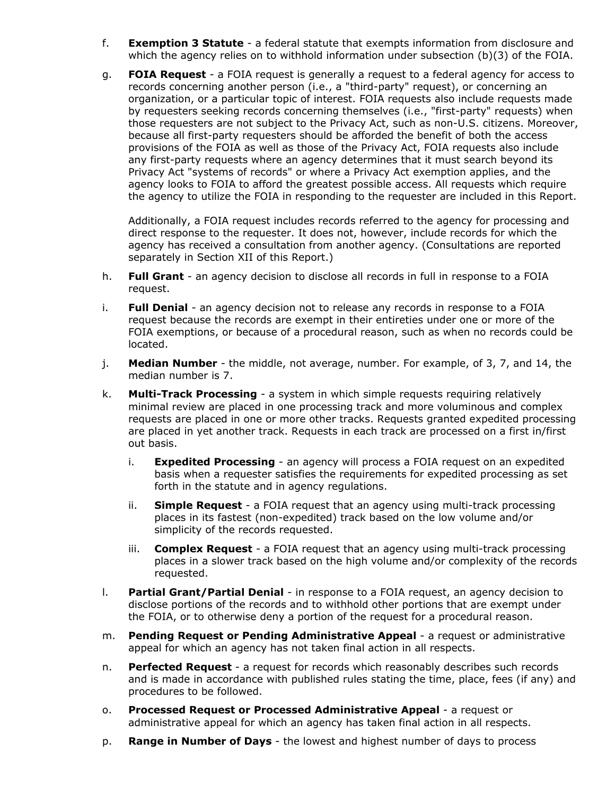- f. **Exemption 3 Statute** a federal statute that exempts information from disclosure and which the agency relies on to withhold information under subsection (b)(3) of the FOIA.
- g. **FOIA Request** a FOIA request is generally a request to a federal agency for access to records concerning another person (i.e., a "third-party" request), or concerning an organization, or a particular topic of interest. FOIA requests also include requests made by requesters seeking records concerning themselves (i.e., "first-party" requests) when those requesters are not subject to the Privacy Act, such as non-U.S. citizens. Moreover, because all first-party requesters should be afforded the benefit of both the access provisions of the FOIA as well as those of the Privacy Act, FOIA requests also include any first-party requests where an agency determines that it must search beyond its Privacy Act "systems of records" or where a Privacy Act exemption applies, and the agency looks to FOIA to afford the greatest possible access. All requests which require the agency to utilize the FOIA in responding to the requester are included in this Report.

Additionally, a FOIA request includes records referred to the agency for processing and direct response to the requester. It does not, however, include records for which the agency has received a consultation from another agency. (Consultations are reported separately in Section XII of this Report.)

- h. **Full Grant** an agency decision to disclose all records in full in response to a FOIA request.
- i. **Full Denial** an agency decision not to release any records in response to a FOIA request because the records are exempt in their entireties under one or more of the FOIA exemptions, or because of a procedural reason, such as when no records could be located.
- j. **Median Number** the middle, not average, number. For example, of 3, 7, and 14, the median number is 7.
- k. **Multi-Track Processing** a system in which simple requests requiring relatively minimal review are placed in one processing track and more voluminous and complex requests are placed in one or more other tracks. Requests granted expedited processing are placed in yet another track. Requests in each track are processed on a first in/first out basis.
	- i. **Expedited Processing** an agency will process a FOIA request on an expedited basis when a requester satisfies the requirements for expedited processing as set forth in the statute and in agency regulations.
	- ii. **Simple Request** a FOIA request that an agency using multi-track processing places in its fastest (non-expedited) track based on the low volume and/or simplicity of the records requested.
	- iii. **Complex Request** a FOIA request that an agency using multi-track processing places in a slower track based on the high volume and/or complexity of the records requested.
- l. **Partial Grant/Partial Denial** in response to a FOIA request, an agency decision to disclose portions of the records and to withhold other portions that are exempt under the FOIA, or to otherwise deny a portion of the request for a procedural reason.
- m. **Pending Request or Pending Administrative Appeal** a request or administrative appeal for which an agency has not taken final action in all respects.
- n. **Perfected Request**  a request for records which reasonably describes such records and is made in accordance with published rules stating the time, place, fees (if any) and procedures to be followed.
- o. **Processed Request or Processed Administrative Appeal**  a request or administrative appeal for which an agency has taken final action in all respects.
- p. **Range in Number of Days** the lowest and highest number of days to process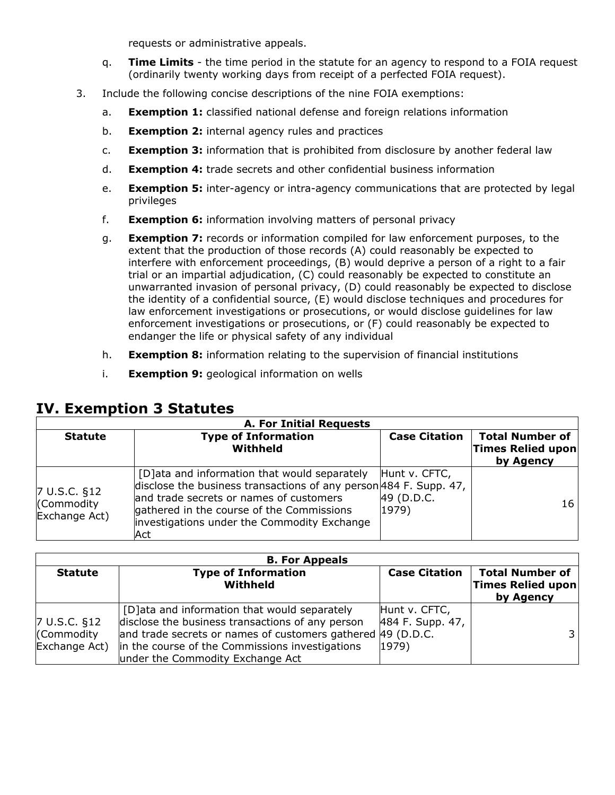requests or administrative appeals.

- q. **Time Limits** the time period in the statute for an agency to respond to a FOIA request (ordinarily twenty working days from receipt of a perfected FOIA request).
- 3. Include the following concise descriptions of the nine FOIA exemptions:
	- a. **Exemption 1:** classified national defense and foreign relations information
	- b. **Exemption 2:** internal agency rules and practices
	- c. **Exemption 3:** information that is prohibited from disclosure by another federal law
	- d. **Exemption 4:** trade secrets and other confidential business information
	- e. **Exemption 5:** inter-agency or intra-agency communications that are protected by legal privileges
	- f. **Exemption 6:** information involving matters of personal privacy
	- g. **Exemption 7:** records or information compiled for law enforcement purposes, to the extent that the production of those records (A) could reasonably be expected to interfere with enforcement proceedings, (B) would deprive a person of a right to a fair trial or an impartial adjudication, (C) could reasonably be expected to constitute an unwarranted invasion of personal privacy, (D) could reasonably be expected to disclose the identity of a confidential source, (E) would disclose techniques and procedures for law enforcement investigations or prosecutions, or would disclose guidelines for law enforcement investigations or prosecutions, or (F) could reasonably be expected to endanger the life or physical safety of any individual
	- h. **Exemption 8:** information relating to the supervision of financial institutions
	- i. **Exemption 9:** geological information on wells

| <b>A. For Initial Requests</b>              |                                                                                                                                                                                                                                                                    |                                      |                                                          |  |  |  |  |  |  |  |
|---------------------------------------------|--------------------------------------------------------------------------------------------------------------------------------------------------------------------------------------------------------------------------------------------------------------------|--------------------------------------|----------------------------------------------------------|--|--|--|--|--|--|--|
| <b>Statute</b>                              | <b>Type of Information</b><br>Withheld                                                                                                                                                                                                                             | <b>Case Citation</b>                 | <b>Total Number of</b><br>Times Relied upon<br>by Agency |  |  |  |  |  |  |  |
| 7 U.S.C. §12<br>(Commodity<br>Exchange Act) | [D] ata and information that would separately<br>disclose the business transactions of any person $484$ F. Supp. 47,<br>and trade secrets or names of customers<br>gathered in the course of the Commissions<br>investigations under the Commodity Exchange<br>Act | Hunt v. CFTC,<br>49 (D.D.C.<br>1979) | 16                                                       |  |  |  |  |  |  |  |

### **IV. Exemption 3 Statutes**

|                                                        | <b>B. For Appeals</b>                                                                                                                                                                                                                                   |                                                     |                                                          |  |  |  |  |  |  |  |  |
|--------------------------------------------------------|---------------------------------------------------------------------------------------------------------------------------------------------------------------------------------------------------------------------------------------------------------|-----------------------------------------------------|----------------------------------------------------------|--|--|--|--|--|--|--|--|
| <b>Statute</b>                                         | <b>Type of Information</b><br>Withheld                                                                                                                                                                                                                  | <b>Case Citation</b>                                | <b>Total Number of</b><br>Times Relied upon<br>by Agency |  |  |  |  |  |  |  |  |
| $7 \text{ U.S.C. } $12$<br>(Commodity<br>Exchange Act) | [D] ata and information that would separately<br>disclose the business transactions of any person<br>and trade secrets or names of customers gathered 49 (D.D.C.<br>in the course of the Commissions investigations<br>under the Commodity Exchange Act | Hunt v. CFTC,<br>484 F. Supp. 47,<br>$ 1979\rangle$ |                                                          |  |  |  |  |  |  |  |  |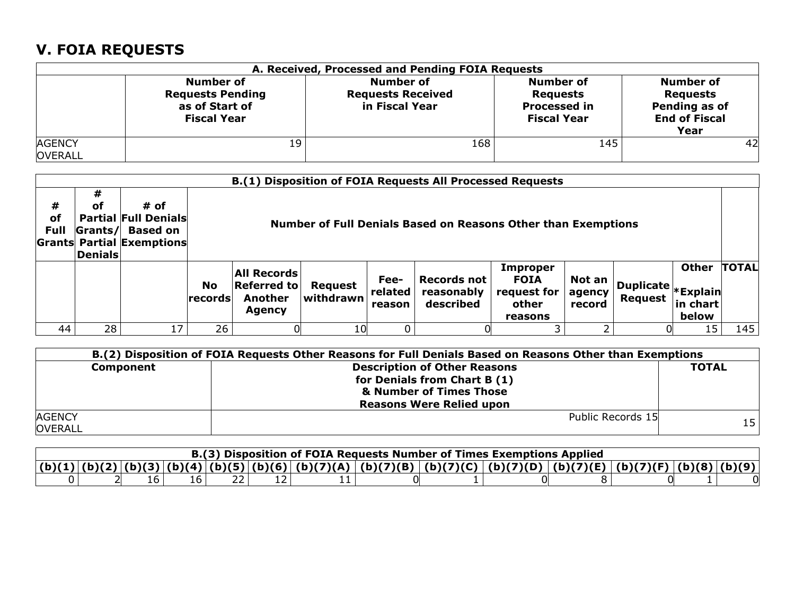# **V. FOIA REQUESTS**

|                                 | A. Received, Processed and Pending FOIA Requests                                    |                                                                |                                                                                  |                                                                                      |  |  |  |  |  |  |  |  |
|---------------------------------|-------------------------------------------------------------------------------------|----------------------------------------------------------------|----------------------------------------------------------------------------------|--------------------------------------------------------------------------------------|--|--|--|--|--|--|--|--|
|                                 | <b>Number of</b><br><b>Requests Pending</b><br>as of Start of<br><b>Fiscal Year</b> | <b>Number of</b><br><b>Requests Received</b><br>in Fiscal Year | <b>Number of</b><br><b>Requests</b><br><b>Processed in</b><br><b>Fiscal Year</b> | <b>Number of</b><br><b>Requests</b><br>Pending as of<br><b>End of Fiscal</b><br>Year |  |  |  |  |  |  |  |  |
| <b>AGENCY</b><br><b>OVERALL</b> | 19                                                                                  | 168                                                            | 145                                                                              | 42                                                                                   |  |  |  |  |  |  |  |  |

|                 | B.(1) Disposition of FOIA Requests All Processed Requests                                                                                                                                                  |    |                        |                                                                                                                                                                                                                                                                                                                                                                                      |    |  |  |  |  |  |    |     |
|-----------------|------------------------------------------------------------------------------------------------------------------------------------------------------------------------------------------------------------|----|------------------------|--------------------------------------------------------------------------------------------------------------------------------------------------------------------------------------------------------------------------------------------------------------------------------------------------------------------------------------------------------------------------------------|----|--|--|--|--|--|----|-----|
| #<br>of<br>Full | #<br># of<br>оf<br><b>Partial Full Denials</b><br><b>Number of Full Denials Based on Reasons Other than Exemptions</b><br><b>Based on</b><br>Grants/<br><b>Grants Partial Exemptions</b><br><b>Denials</b> |    |                        |                                                                                                                                                                                                                                                                                                                                                                                      |    |  |  |  |  |  |    |     |
|                 |                                                                                                                                                                                                            |    | <b>No</b><br>lrecordsl | <b>TOTAL</b><br><b>Other</b><br><b>Improper</b><br><b>All Records</b><br><b>Records not</b><br><b>FOIA</b><br>Fee-<br>Not an<br>  Duplicate <sub> * Explain</sub>  <br><b>Referred to</b><br>Request<br>reasonably<br>related<br>request for<br>agency<br>withdrawn<br><b>Another</b><br>Request<br>described<br>other<br>in chart<br>record<br>reason<br>Agency<br>below<br>reasons |    |  |  |  |  |  |    |     |
| 44              | 28 <sub>1</sub>                                                                                                                                                                                            | 17 | 26                     |                                                                                                                                                                                                                                                                                                                                                                                      | 10 |  |  |  |  |  | 15 | 145 |

|                                 | B.(2) Disposition of FOIA Requests Other Reasons for Full Denials Based on Reasons Other than Exemptions                          |              |
|---------------------------------|-----------------------------------------------------------------------------------------------------------------------------------|--------------|
| Component                       | <b>Description of Other Reasons</b><br>for Denials from Chart B (1)<br>& Number of Times Those<br><b>Reasons Were Relied upon</b> | <b>TOTAL</b> |
| <b>AGENCY</b><br><b>OVERALL</b> | Public Records 15                                                                                                                 | 15           |

| B.(3) Disposition of FOIA Requests Number of Times Exemptions Applied |  |  |  |  |                                                                                                                         |  |  |  |  |  |  |  |
|-----------------------------------------------------------------------|--|--|--|--|-------------------------------------------------------------------------------------------------------------------------|--|--|--|--|--|--|--|
|                                                                       |  |  |  |  | $ (b)(1) (b)(2) (b)(3) (b)(4) (b)(5) (b)(6) (b)(7)(A) (b)(7)(B) (b)(7)(C) (b)(7)(D) (b)(7)(E) (b)(7)(F) (b)(8) (b)(9)($ |  |  |  |  |  |  |  |
|                                                                       |  |  |  |  |                                                                                                                         |  |  |  |  |  |  |  |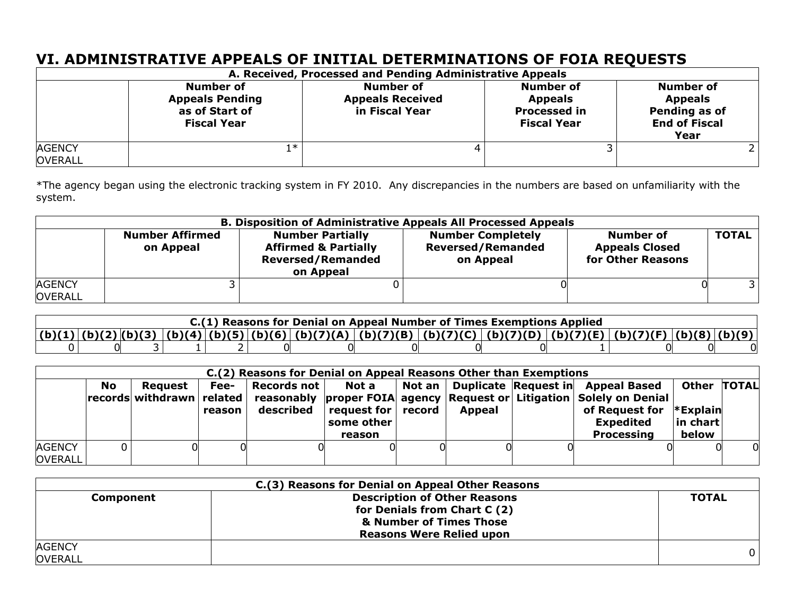# **VI. ADMINISTRATIVE APPEALS OF INITIAL DETERMINATIONS OF FOIA REQUESTS**

|                                 |                                                                             | A. Received, Processed and Pending Administrative Appeals     |                                                                                 |                                                                                     |
|---------------------------------|-----------------------------------------------------------------------------|---------------------------------------------------------------|---------------------------------------------------------------------------------|-------------------------------------------------------------------------------------|
|                                 | Number of<br><b>Appeals Pending</b><br>as of Start of<br><b>Fiscal Year</b> | <b>Number of</b><br><b>Appeals Received</b><br>in Fiscal Year | <b>Number of</b><br><b>Appeals</b><br><b>Processed in</b><br><b>Fiscal Year</b> | <b>Number of</b><br><b>Appeals</b><br>Pending as of<br><b>End of Fiscal</b><br>Year |
| <b>AGENCY</b><br><b>OVERALL</b> | ∣∗                                                                          |                                                               |                                                                                 |                                                                                     |

\*The agency began using the electronic tracking system in FY 2010. Any discrepancies in the numbers are based on unfamiliarity with the system.

|                                 | <b>B. Disposition of Administrative Appeals All Processed Appeals</b> |                                                                                                     |                                                                   |                                                                |              |  |  |  |  |  |  |  |
|---------------------------------|-----------------------------------------------------------------------|-----------------------------------------------------------------------------------------------------|-------------------------------------------------------------------|----------------------------------------------------------------|--------------|--|--|--|--|--|--|--|
|                                 | <b>Number Affirmed</b><br>on Appeal                                   | <b>Number Partially</b><br><b>Affirmed &amp; Partially</b><br><b>Reversed/Remanded</b><br>on Appeal | <b>Number Completely</b><br><b>Reversed/Remanded</b><br>on Appeal | <b>Number of</b><br><b>Appeals Closed</b><br>for Other Reasons | <b>TOTAL</b> |  |  |  |  |  |  |  |
| <b>AGENCY</b><br><b>OVERALL</b> |                                                                       |                                                                                                     |                                                                   |                                                                |              |  |  |  |  |  |  |  |

| C.(1) Reasons for Denial on Appeal Number of Times Exemptions Applied |  |  |  |  |  |  |  |                                                                                                                         |  |  |  |  |
|-----------------------------------------------------------------------|--|--|--|--|--|--|--|-------------------------------------------------------------------------------------------------------------------------|--|--|--|--|
|                                                                       |  |  |  |  |  |  |  | $ (b)(1) (b)(2) (b)(3) (b)(4) (b)(5) (b)(6) (b)(7)(A) (b)(7)(B) (b)(7)(C) (b)(7)(D) (b)(7)(E) (b)(7)(F) (b)(8) (b)(9) $ |  |  |  |  |
|                                                                       |  |  |  |  |  |  |  |                                                                                                                         |  |  |  |  |

|                                 | C.(2) Reasons for Denial on Appeal Reasons Other than Exemptions |                                                         |                |                          |                                                                             |  |        |  |                                                                                                                                                                                                     |                                                  |   |  |  |
|---------------------------------|------------------------------------------------------------------|---------------------------------------------------------|----------------|--------------------------|-----------------------------------------------------------------------------|--|--------|--|-----------------------------------------------------------------------------------------------------------------------------------------------------------------------------------------------------|--------------------------------------------------|---|--|--|
|                                 | <b>No</b>                                                        | <b>Request</b><br>$ records $ withdrawn $ $ related $ $ | Fee-<br>reason | Records not<br>described | Not a<br>$\mathsf{`request}$ for $\mathsf{`record}$<br>some other<br>reason |  | Appeal |  | Not an   Duplicate Request in   Appeal Based<br>reasonably  proper FOIA  agency   Request or   Litigation   Solely on Denial<br>of Request for $*$ Explain<br><b>Expedited</b><br><b>Processing</b> | Other TOTAL<br>$\vert$ in chart $\vert$<br>below |   |  |  |
| <b>AGENCY</b><br><b>OVERALL</b> |                                                                  |                                                         |                |                          |                                                                             |  |        |  |                                                                                                                                                                                                     |                                                  | 0 |  |  |

|                                 | C.(3) Reasons for Denial on Appeal Other Reasons                                                                                  |              |
|---------------------------------|-----------------------------------------------------------------------------------------------------------------------------------|--------------|
| Component                       | <b>Description of Other Reasons</b><br>for Denials from Chart C (2)<br>& Number of Times Those<br><b>Reasons Were Relied upon</b> | <b>TOTAL</b> |
| <b>AGENCY</b><br><b>OVERALL</b> |                                                                                                                                   |              |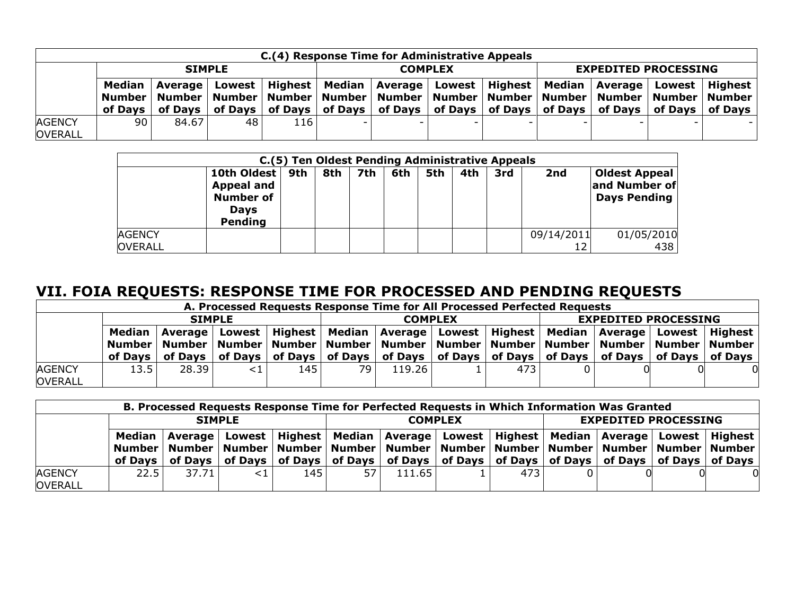|                                 | C.(4) Response Time for Administrative Appeals |                  |    |     |                |                                                                                                                                                                                                                                                                                                                                                                                                                |  |  |                             |  |  |  |  |  |
|---------------------------------|------------------------------------------------|------------------|----|-----|----------------|----------------------------------------------------------------------------------------------------------------------------------------------------------------------------------------------------------------------------------------------------------------------------------------------------------------------------------------------------------------------------------------------------------------|--|--|-----------------------------|--|--|--|--|--|
|                                 |                                                | <b>SIMPLE</b>    |    |     | <b>COMPLEX</b> |                                                                                                                                                                                                                                                                                                                                                                                                                |  |  | <b>EXPEDITED PROCESSING</b> |  |  |  |  |  |
|                                 | of Davs I                                      | Median   Average |    |     |                | Lowest   Highest   Median   Average   Lowest   Highest   Median   Average   Lowest   Highest  <br>Number   Number   Number   Number   Number   Number   Number   Number   Number   Number   Number   Number<br>of Days $\vert$ of Days $\vert$ of Days $\vert$ of Days $\vert$ of Days $\vert$ of Days $\vert$ of Days $\vert$ of Days $\vert$ of Days $\vert$ of Days $\vert$ of Days $\vert$ of Days $\vert$ |  |  |                             |  |  |  |  |  |
| <b>AGENCY</b><br><b>OVERALL</b> | 90 I                                           | 84.67            | 48 | 116 |                |                                                                                                                                                                                                                                                                                                                                                                                                                |  |  |                             |  |  |  |  |  |

|                                 | C.(5) Ten Oldest Pending Administrative Appeals                                |     |     |     |     |     |     |     |            |                                                       |
|---------------------------------|--------------------------------------------------------------------------------|-----|-----|-----|-----|-----|-----|-----|------------|-------------------------------------------------------|
|                                 | 10th Oldest<br><b>Appeal and</b><br><b>Number of</b><br><b>Days</b><br>Pending | 9th | 8th | 7th | 6th | 5th | 4th | 3rd | 2nd        | <b>Oldest Appeal</b><br>and Number of<br>Days Pending |
| <b>AGENCY</b><br><b>OVERALL</b> |                                                                                |     |     |     |     |     |     |     | 09/14/2011 | 01/05/2010<br>438                                     |

# **VII. FOIA REQUESTS: RESPONSE TIME FOR PROCESSED AND PENDING REQUESTS**

|                                 | A. Processed Requests Response Time for All Processed Perfected Requests |                 |    |     |                |                                                                                                                                                                                                                                                                                                                              |  |     |                             |  |  |  |
|---------------------------------|--------------------------------------------------------------------------|-----------------|----|-----|----------------|------------------------------------------------------------------------------------------------------------------------------------------------------------------------------------------------------------------------------------------------------------------------------------------------------------------------------|--|-----|-----------------------------|--|--|--|
|                                 | <b>SIMPLE</b>                                                            |                 |    |     | <b>COMPLEX</b> |                                                                                                                                                                                                                                                                                                                              |  |     | <b>EXPEDITED PROCESSING</b> |  |  |  |
|                                 | Median<br>of Davs                                                        | of Days $\vert$ |    |     |                | Average   Lowest   Highest   Median   Average   Lowest   Highest   Median   Average   Lowest   Highest<br>Number   Number   Number   Number   Number   Number   Number   Number   Number   Number   Number   Number<br>∣ of Days ∣ of Days ∣ of Days ∣ of Days ∣ of Days ∣ of Days ∣ of Days ∣ of Days ∣ of Days ∣ of Days ∣ |  |     |                             |  |  |  |
| <b>AGENCY</b><br><b>OVERALL</b> | 13.5                                                                     | 28.39           | <1 | 145 | 79.            | 119.26                                                                                                                                                                                                                                                                                                                       |  | 473 |                             |  |  |  |

|                                 | B. Processed Requests Response Time for Perfected Requests in Which Information Was Granted                                                  |       |  |     |                                                                                                                                                                                                           |        |  |     |                             |  |  |  |
|---------------------------------|----------------------------------------------------------------------------------------------------------------------------------------------|-------|--|-----|-----------------------------------------------------------------------------------------------------------------------------------------------------------------------------------------------------------|--------|--|-----|-----------------------------|--|--|--|
|                                 | <b>SIMPLE</b>                                                                                                                                |       |  |     | <b>COMPLEX</b>                                                                                                                                                                                            |        |  |     | <b>EXPEDITED PROCESSING</b> |  |  |  |
|                                 | Median<br>Average l<br>of Days   of Days   of Days   of Days   of Days   of Days   of Days   of Days   of Days   of Days   of Days   of Days |       |  |     | Lowest   Highest   Median   Average   Lowest   Highest   Median   Average   Lowest   Highest<br>Number   Number   Number   Number   Number   Number   Number   Number   Number   Number   Number   Number |        |  |     |                             |  |  |  |
| <b>AGENCY</b><br><b>OVERALL</b> | 22.51                                                                                                                                        | 37.71 |  | 145 | 57                                                                                                                                                                                                        | 111.65 |  | 473 |                             |  |  |  |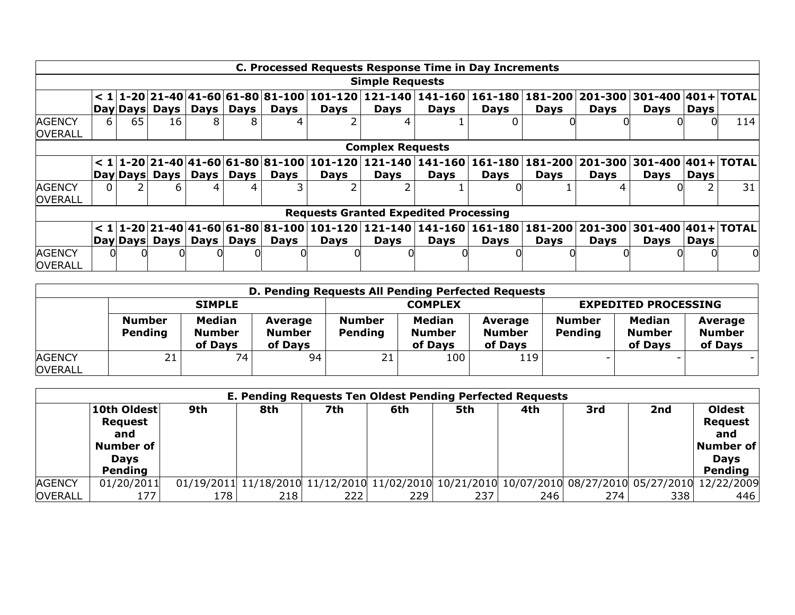|                                 |    |    |                |             |             |             |             |                         | C. Processed Requests Response Time in Day Increments                |             |                                                                                                                                                               |             |             |             |     |
|---------------------------------|----|----|----------------|-------------|-------------|-------------|-------------|-------------------------|----------------------------------------------------------------------|-------------|---------------------------------------------------------------------------------------------------------------------------------------------------------------|-------------|-------------|-------------|-----|
|                                 |    |    |                |             |             |             |             | <b>Simple Requests</b>  |                                                                      |             |                                                                                                                                                               |             |             |             |     |
|                                 |    |    |                |             |             |             |             |                         |                                                                      |             | $< 1$ $ 1$ -20 $ 21$ -40 $ 41$ -60 $ 61$ -80 $ 81$ -100 $ 101$ -120 $ 121$ -140 $ 141$ -160 $ 161$ -180 $ 181$ -200 $ 201$ -300 $ 301$ -400 $ 401+ T$ OTAL    |             |             |             |     |
|                                 |    |    | Day Days  Days |             | Days   Days | <b>Days</b> | <b>Days</b> | <b>Days</b>             | <b>Days</b>                                                          | <b>Days</b> | <b>Days</b>                                                                                                                                                   | <b>Days</b> | <b>Days</b> | <b>Days</b> |     |
| <b>AGENCY</b><br><b>OVERALL</b> | 6. | 65 | 16             | 8.          | 8           |             |             |                         |                                                                      |             |                                                                                                                                                               |             |             |             | 114 |
|                                 |    |    |                |             |             |             |             | <b>Complex Requests</b> |                                                                      |             |                                                                                                                                                               |             |             |             |     |
|                                 |    |    |                |             |             |             |             |                         |                                                                      |             | $< 1 1$ -20 $ 21$ -40 $ 41$ -60 $ 61$ -80 $ 81$ -100 $ 101$ -120 $ 121$ -140 $ 141$ -160 $ 161$ -180 $ 181$ -200 $ 201$ -300 $ 301$ -400 $ 401+ {\tt TOTAL} $ |             |             |             |     |
|                                 |    |    | Day Days  Days | Days        | Days        | Days        | Days        | <b>Days</b>             | <b>Days</b>                                                          | <b>Days</b> | <b>Days</b>                                                                                                                                                   | <b>Days</b> | Days        | <b>Days</b> |     |
| <b>AGENCY</b><br>OVERALL        |    |    | 6              | 4           | 4           |             |             |                         |                                                                      |             |                                                                                                                                                               | 4           |             |             | 31  |
|                                 |    |    |                |             |             |             |             |                         | <b>Requests Granted Expedited Processing</b>                         |             |                                                                                                                                                               |             |             |             |     |
|                                 |    |    |                |             |             |             |             |                         | $< 1$  1-20 21-40 41-60 61-80 81-100 101-120 121-140 141-160 161-180 |             | 181-200   201-300   301-400   401+   TOTAL                                                                                                                    |             |             |             |     |
|                                 |    |    | Day Days Days  | Days   Days |             | Days        | <b>Days</b> | <b>Days</b>             | Days                                                                 | <b>Days</b> | <b>Days</b>                                                                                                                                                   | <b>Days</b> | <b>Days</b> | <b>Days</b> |     |
| <b>AGENCY</b><br><b>OVERALL</b> |    |    |                |             |             |             |             |                         |                                                                      |             |                                                                                                                                                               |             |             |             |     |

|                                 | D. Pending Requests All Pending Perfected Requests |                                           |                                     |                          |                                    |                                     |                             |                                           |                                     |  |
|---------------------------------|----------------------------------------------------|-------------------------------------------|-------------------------------------|--------------------------|------------------------------------|-------------------------------------|-----------------------------|-------------------------------------------|-------------------------------------|--|
|                                 |                                                    | <b>SIMPLE</b>                             |                                     |                          | <b>COMPLEX</b>                     |                                     | <b>EXPEDITED PROCESSING</b> |                                           |                                     |  |
|                                 | <b>Number</b><br>Pending                           | <b>Median</b><br><b>Number</b><br>of Days | Average<br><b>Number</b><br>of Days | <b>Number</b><br>Pending | Median<br><b>Number</b><br>of Days | Average<br><b>Number</b><br>of Days | <b>Number</b><br>Pending    | <b>Median</b><br><b>Number</b><br>of Days | Average<br><b>Number</b><br>of Days |  |
| <b>AGENCY</b><br><b>OVERALL</b> | 21                                                 | 74                                        | 94                                  | 21                       | 100                                | 119                                 |                             |                                           |                                     |  |

|                | E. Pending Requests Ten Oldest Pending Perfected Requests                   |      |     |     |      |     |     |     |     |                                                                                                    |  |
|----------------|-----------------------------------------------------------------------------|------|-----|-----|------|-----|-----|-----|-----|----------------------------------------------------------------------------------------------------|--|
|                | 10th Oldest<br><b>Request</b><br>and<br>Number of<br><b>Days</b><br>Pending | 9th  | 8th | 7th | 6th  | 5th | 4th | 3rd | 2nd | <b>Oldest</b><br><b>Request</b><br>and<br>Number of<br><b>Days</b><br><b>Pending</b>               |  |
| <b>AGENCY</b>  | 01/20/2011                                                                  |      |     |     |      |     |     |     |     | 01/19/2011 11/18/2010 11/12/2010 11/02/2010 10/21/2010 10/07/2010 08/27/2010 05/27/2010 12/22/2009 |  |
| <b>OVERALL</b> |                                                                             | 178. | 218 | 222 | 229. | 237 | 246 | 274 | 338 | 446                                                                                                |  |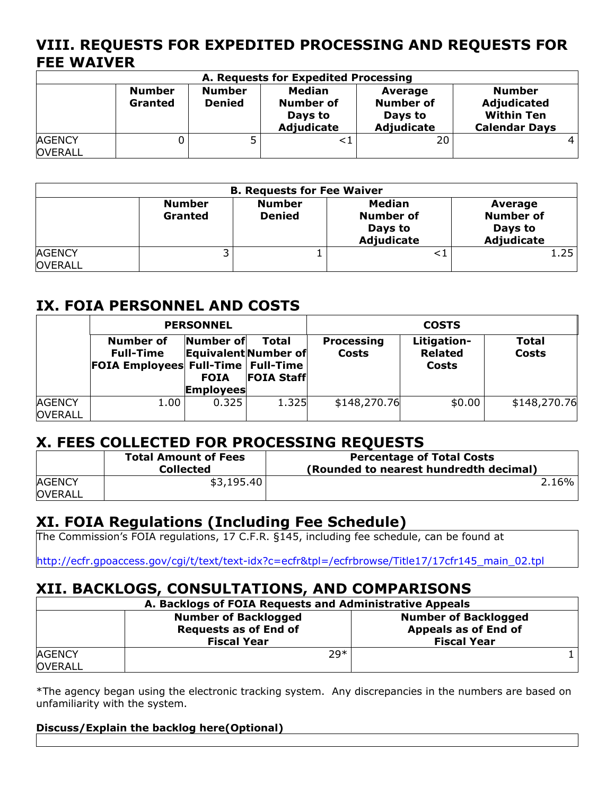## **VIII. REQUESTS FOR EXPEDITED PROCESSING AND REQUESTS FOR FEE WAIVER**

| A. Requests for Expedited Processing |                          |                                |                                                            |                                                             |                                                                           |  |  |  |  |
|--------------------------------------|--------------------------|--------------------------------|------------------------------------------------------------|-------------------------------------------------------------|---------------------------------------------------------------------------|--|--|--|--|
|                                      | <b>Number</b><br>Granted | <b>Number</b><br><b>Denied</b> | <b>Median</b><br><b>Number of</b><br>Days to<br>Adjudicate | Average<br><b>Number of</b><br>Days to<br><b>Adjudicate</b> | <b>Number</b><br>Adjudicated<br><b>Within Ten</b><br><b>Calendar Days</b> |  |  |  |  |
| <b>AGENCY</b><br><b>OVERALL</b>      |                          |                                |                                                            | 20                                                          |                                                                           |  |  |  |  |

| <b>B. Requests for Fee Waiver</b> |                                 |                                |                                                            |                                                      |  |  |  |
|-----------------------------------|---------------------------------|--------------------------------|------------------------------------------------------------|------------------------------------------------------|--|--|--|
|                                   | <b>Number</b><br><b>Granted</b> | <b>Number</b><br><b>Denied</b> | <b>Median</b><br><b>Number of</b><br>Days to<br>Adjudicate | Average<br><b>Number of</b><br>Days to<br>Adjudicate |  |  |  |
| <b>AGENCY</b><br><b>OVERALL</b>   | ر                               |                                |                                                            | 1.25                                                 |  |  |  |

# **IX. FOIA PERSONNEL AND COSTS**

|                |                                                                                | <b>PERSONNEL</b>                             |                                                    |                                   | <b>COSTS</b>                           |                |
|----------------|--------------------------------------------------------------------------------|----------------------------------------------|----------------------------------------------------|-----------------------------------|----------------------------------------|----------------|
|                | Number of<br><b>Full-Time</b><br><b>FOIA Employees Full-Time   Full-Time  </b> | Number of<br><b>FOIA</b><br><b>Employees</b> | Total<br>Equivalent Number of<br><b>FOIA Staff</b> | <b>Processing</b><br><b>Costs</b> | Litigation-<br><b>Related</b><br>Costs | Total<br>Costs |
|                |                                                                                |                                              |                                                    |                                   |                                        |                |
| <b>AGENCY</b>  | 1.00                                                                           | 0.325                                        | 1.325                                              | \$148,270.76                      | \$0.00                                 | \$148,270.76   |
| <b>OVERALL</b> |                                                                                |                                              |                                                    |                                   |                                        |                |

### **X. FEES COLLECTED FOR PROCESSING REQUESTS**

|                                 | <b>Total Amount of Fees</b><br><b>Collected</b> | <b>Percentage of Total Costs</b><br>(Rounded to nearest hundredth decimal) |
|---------------------------------|-------------------------------------------------|----------------------------------------------------------------------------|
| <b>AGENCY</b><br><b>OVERALL</b> | \$3,195.40                                      | $2.16\%$                                                                   |

### **XI. FOIA Regulations (Including Fee Schedule)**

The Commission's FOIA regulations, 17 C.F.R. §145, including fee schedule, can be found at

http://ecfr.gpoaccess.gov/cgi/t/text/text-idx?c=ecfr&tpl=/ecfrbrowse/Title17/17cfr145\_main\_02.tpl

## **XII. BACKLOGS, CONSULTATIONS, AND COMPARISONS**

| A. Backlogs of FOIA Requests and Administrative Appeals |                                                                                   |                                                                           |  |  |  |  |  |
|---------------------------------------------------------|-----------------------------------------------------------------------------------|---------------------------------------------------------------------------|--|--|--|--|--|
|                                                         | <b>Number of Backlogged</b><br><b>Requests as of End of</b><br><b>Fiscal Year</b> | <b>Number of Backlogged</b><br>Appeals as of End of<br><b>Fiscal Year</b> |  |  |  |  |  |
| <b>AGENCY</b><br><b>OVERALL</b>                         | $79*$                                                                             |                                                                           |  |  |  |  |  |

\*The agency began using the electronic tracking system. Any discrepancies in the numbers are based on unfamiliarity with the system.

#### **Discuss/Explain the backlog here(Optional)**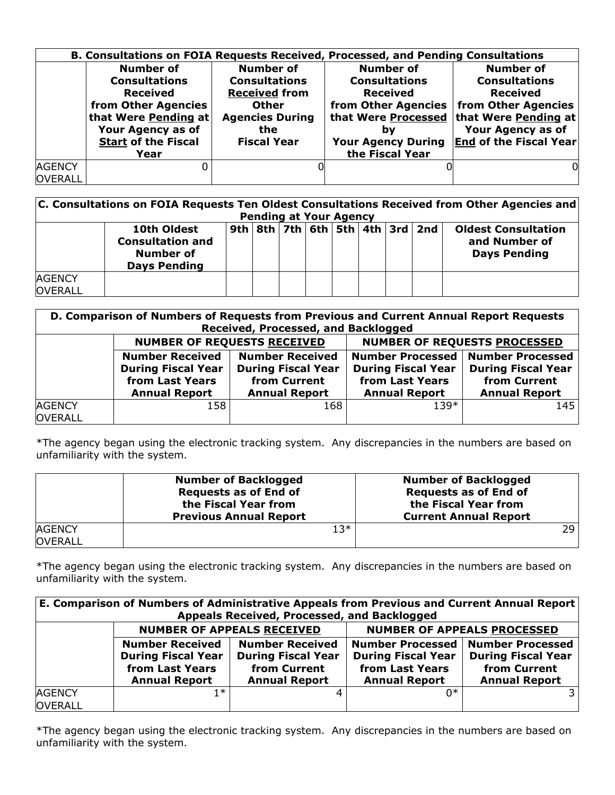|                |                            |                        | B. Consultations on FOIA Requests Received, Processed, and Pending Consultations |                                           |
|----------------|----------------------------|------------------------|----------------------------------------------------------------------------------|-------------------------------------------|
|                | Number of                  | <b>Number of</b>       | Number of                                                                        | <b>Number of</b>                          |
|                | <b>Consultations</b>       | <b>Consultations</b>   | <b>Consultations</b>                                                             | <b>Consultations</b>                      |
|                | <b>Received</b>            | <b>Received from</b>   | <b>Received</b>                                                                  | <b>Received</b>                           |
|                | from Other Agencies        | <b>Other</b>           |                                                                                  | from Other Agencies   from Other Agencies |
|                | that Were Pending at       | <b>Agencies During</b> |                                                                                  | that Were Processed that Were Pending at  |
|                | Your Agency as of          | the                    | b٧                                                                               | Your Agency as of                         |
|                | <b>Start of the Fiscal</b> | <b>Fiscal Year</b>     | <b>Your Agency During</b>                                                        | <b>End of the Fiscal Year</b>             |
|                | Year                       |                        | the Fiscal Year                                                                  |                                           |
| <b>AGENCY</b>  |                            |                        |                                                                                  | 0l                                        |
| <b>OVERALL</b> |                            |                        |                                                                                  |                                           |

| C. Consultations on FOIA Requests Ten Oldest Consultations Received from Other Agencies and<br><b>Pending at Your Agency</b> |                                                                                   |  |  |  |  |  |                                               |                                                                    |
|------------------------------------------------------------------------------------------------------------------------------|-----------------------------------------------------------------------------------|--|--|--|--|--|-----------------------------------------------|--------------------------------------------------------------------|
|                                                                                                                              | 10th Oldest<br><b>Consultation and</b><br><b>Number of</b><br><b>Days Pending</b> |  |  |  |  |  | 9th   8th   7th   6th   5th   4th   3rd   2nd | <b>Oldest Consultation</b><br>and Number of<br><b>Days Pending</b> |
| <b>AGENCY</b><br><b>OVERALL</b>                                                                                              |                                                                                   |  |  |  |  |  |                                               |                                                                    |

| D. Comparison of Numbers of Requests from Previous and Current Annual Report Requests<br>Received, Processed, and Backlogged |                                                                                                |                                                                                             |                                                                      |                                                                                                          |  |
|------------------------------------------------------------------------------------------------------------------------------|------------------------------------------------------------------------------------------------|---------------------------------------------------------------------------------------------|----------------------------------------------------------------------|----------------------------------------------------------------------------------------------------------|--|
|                                                                                                                              | <b>NUMBER OF REQUESTS RECEIVED</b>                                                             |                                                                                             | <b>NUMBER OF REQUESTS PROCESSED</b>                                  |                                                                                                          |  |
|                                                                                                                              | <b>Number Received</b><br><b>During Fiscal Year</b><br>from Last Years<br><b>Annual Report</b> | <b>Number Received</b><br><b>During Fiscal Year</b><br>from Current<br><b>Annual Report</b> | <b>During Fiscal Year</b><br>from Last Years<br><b>Annual Report</b> | Number Processed   Number Processed<br><b>During Fiscal Year</b><br>from Current<br><b>Annual Report</b> |  |
| <b>AGENCY</b><br><b>OVERALL</b>                                                                                              | 158                                                                                            | 168                                                                                         | $139*$                                                               | 145                                                                                                      |  |

\*The agency began using the electronic tracking system. Any discrepancies in the numbers are based on unfamiliarity with the system.

|                | <b>Number of Backlogged</b><br><b>Requests as of End of</b><br>the Fiscal Year from<br><b>Previous Annual Report</b> | <b>Number of Backlogged</b><br><b>Requests as of End of</b><br>the Fiscal Year from<br><b>Current Annual Report</b> |
|----------------|----------------------------------------------------------------------------------------------------------------------|---------------------------------------------------------------------------------------------------------------------|
| <b>AGENCY</b>  | 13*                                                                                                                  | 29.                                                                                                                 |
| <b>OVERALL</b> |                                                                                                                      |                                                                                                                     |

\*The agency began using the electronic tracking system. Any discrepancies in the numbers are based on unfamiliarity with the system.

| E. Comparison of Numbers of Administrative Appeals from Previous and Current Annual Report<br>Appeals Received, Processed, and Backlogged |                                                                                                |                                                                                             |                                                                      |                                                                                                          |  |
|-------------------------------------------------------------------------------------------------------------------------------------------|------------------------------------------------------------------------------------------------|---------------------------------------------------------------------------------------------|----------------------------------------------------------------------|----------------------------------------------------------------------------------------------------------|--|
|                                                                                                                                           |                                                                                                | <b>NUMBER OF APPEALS RECEIVED</b>                                                           | <b>NUMBER OF APPEALS PROCESSED</b>                                   |                                                                                                          |  |
|                                                                                                                                           | <b>Number Received</b><br><b>During Fiscal Year</b><br>from Last Years<br><b>Annual Report</b> | <b>Number Received</b><br><b>During Fiscal Year</b><br>from Current<br><b>Annual Report</b> | <b>During Fiscal Year</b><br>from Last Years<br><b>Annual Report</b> | Number Processed   Number Processed<br><b>During Fiscal Year</b><br>from Current<br><b>Annual Report</b> |  |
| <b>AGENCY</b><br><b>OVERALL</b>                                                                                                           | 1 ≭                                                                                            |                                                                                             | ∩∗                                                                   |                                                                                                          |  |

\*The agency began using the electronic tracking system. Any discrepancies in the numbers are based on unfamiliarity with the system.